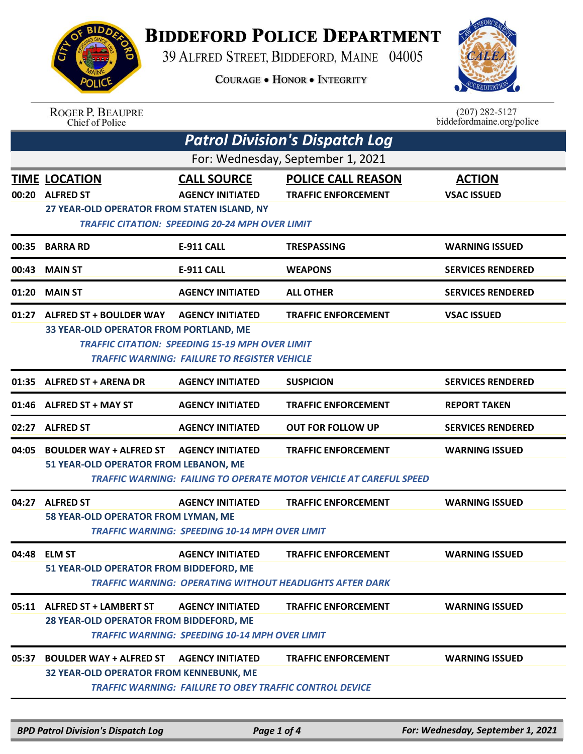

## **BIDDEFORD POLICE DEPARTMENT**

39 ALFRED STREET, BIDDEFORD, MAINE 04005

**COURAGE . HONOR . INTEGRITY** 



ROGER P. BEAUPRE<br>Chief of Police

 $(207)$  282-5127<br>biddefordmaine.org/police

|                                   | <b>Patrol Division's Dispatch Log</b>                                                                                                                                                                                                                            |                                                                                                         |                                                                                                  |                                     |  |  |
|-----------------------------------|------------------------------------------------------------------------------------------------------------------------------------------------------------------------------------------------------------------------------------------------------------------|---------------------------------------------------------------------------------------------------------|--------------------------------------------------------------------------------------------------|-------------------------------------|--|--|
| For: Wednesday, September 1, 2021 |                                                                                                                                                                                                                                                                  |                                                                                                         |                                                                                                  |                                     |  |  |
|                                   | <b>TIME LOCATION</b><br>00:20 ALFRED ST<br>27 YEAR-OLD OPERATOR FROM STATEN ISLAND, NY                                                                                                                                                                           | <b>CALL SOURCE</b><br><b>AGENCY INITIATED</b><br><b>TRAFFIC CITATION: SPEEDING 20-24 MPH OVER LIMIT</b> | <b>POLICE CALL REASON</b><br><b>TRAFFIC ENFORCEMENT</b>                                          | <b>ACTION</b><br><b>VSAC ISSUED</b> |  |  |
| 00:35                             | <b>BARRA RD</b>                                                                                                                                                                                                                                                  | <b>E-911 CALL</b>                                                                                       | <b>TRESPASSING</b>                                                                               | <b>WARNING ISSUED</b>               |  |  |
| 00:43                             | <b>MAIN ST</b>                                                                                                                                                                                                                                                   | <b>E-911 CALL</b>                                                                                       | <b>WEAPONS</b>                                                                                   | <b>SERVICES RENDERED</b>            |  |  |
| 01:20                             | <b>MAIN ST</b>                                                                                                                                                                                                                                                   | <b>AGENCY INITIATED</b>                                                                                 | <b>ALL OTHER</b>                                                                                 | <b>SERVICES RENDERED</b>            |  |  |
|                                   | 01:27 ALFRED ST + BOULDER WAY<br><b>AGENCY INITIATED</b><br><b>TRAFFIC ENFORCEMENT</b><br><b>VSAC ISSUED</b><br>33 YEAR-OLD OPERATOR FROM PORTLAND, ME<br><b>TRAFFIC CITATION: SPEEDING 15-19 MPH OVER LIMIT</b><br>TRAFFIC WARNING: FAILURE TO REGISTER VEHICLE |                                                                                                         |                                                                                                  |                                     |  |  |
|                                   | 01:35 ALFRED ST + ARENA DR                                                                                                                                                                                                                                       | <b>AGENCY INITIATED</b>                                                                                 | <b>SUSPICION</b>                                                                                 | <b>SERVICES RENDERED</b>            |  |  |
|                                   | 01:46 ALFRED ST + MAY ST                                                                                                                                                                                                                                         | <b>AGENCY INITIATED</b>                                                                                 | <b>TRAFFIC ENFORCEMENT</b>                                                                       | <b>REPORT TAKEN</b>                 |  |  |
|                                   | 02:27 ALFRED ST                                                                                                                                                                                                                                                  | <b>AGENCY INITIATED</b>                                                                                 | <b>OUT FOR FOLLOW UP</b>                                                                         | <b>SERVICES RENDERED</b>            |  |  |
| 04:05                             | <b>BOULDER WAY + ALFRED ST</b><br>51 YEAR-OLD OPERATOR FROM LEBANON, ME                                                                                                                                                                                          | <b>AGENCY INITIATED</b>                                                                                 | <b>TRAFFIC ENFORCEMENT</b><br>TRAFFIC WARNING: FAILING TO OPERATE MOTOR VEHICLE AT CAREFUL SPEED | <b>WARNING ISSUED</b>               |  |  |
| 04:27                             | <b>ALFRED ST</b><br>58 YEAR-OLD OPERATOR FROM LYMAN, ME                                                                                                                                                                                                          | <b>AGENCY INITIATED</b><br><b>TRAFFIC WARNING: SPEEDING 10-14 MPH OVER LIMIT</b>                        | <b>TRAFFIC ENFORCEMENT</b>                                                                       | <b>WARNING ISSUED</b>               |  |  |
|                                   | 04:48 ELM ST<br>51 YEAR-OLD OPERATOR FROM BIDDEFORD, ME                                                                                                                                                                                                          | <b>AGENCY INITIATED</b>                                                                                 | <b>TRAFFIC ENFORCEMENT</b><br><b>TRAFFIC WARNING: OPERATING WITHOUT HEADLIGHTS AFTER DARK</b>    | <b>WARNING ISSUED</b>               |  |  |
|                                   | 05:11 ALFRED ST + LAMBERT ST<br>28 YEAR-OLD OPERATOR FROM BIDDEFORD, ME                                                                                                                                                                                          | <b>AGENCY INITIATED</b><br><b>TRAFFIC WARNING: SPEEDING 10-14 MPH OVER LIMIT</b>                        | <b>TRAFFIC ENFORCEMENT</b>                                                                       | <b>WARNING ISSUED</b>               |  |  |
| 05:37                             | <b>BOULDER WAY + ALFRED ST</b><br>32 YEAR-OLD OPERATOR FROM KENNEBUNK, ME                                                                                                                                                                                        | <b>AGENCY INITIATED</b><br><b>TRAFFIC WARNING: FAILURE TO OBEY TRAFFIC CONTROL DEVICE</b>               | <b>TRAFFIC ENFORCEMENT</b>                                                                       | <b>WARNING ISSUED</b>               |  |  |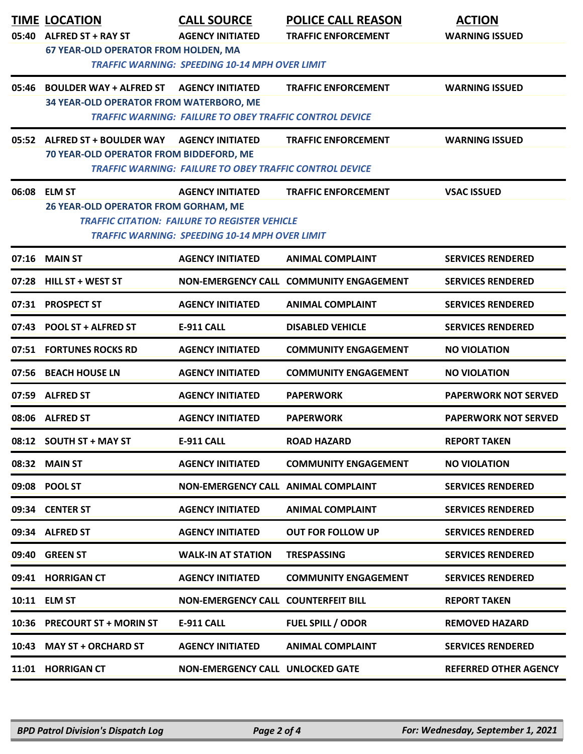|       | <b>TIME LOCATION</b>                                                                                          | <b>CALL SOURCE</b>                                             | <b>POLICE CALL REASON</b>               | <b>ACTION</b>                |  |
|-------|---------------------------------------------------------------------------------------------------------------|----------------------------------------------------------------|-----------------------------------------|------------------------------|--|
| 05:40 | <b>ALFRED ST + RAY ST</b><br><b>67 YEAR-OLD OPERATOR FROM HOLDEN, MA</b>                                      | <b>AGENCY INITIATED</b>                                        | <b>TRAFFIC ENFORCEMENT</b>              | <b>WARNING ISSUED</b>        |  |
|       | <b>TRAFFIC WARNING: SPEEDING 10-14 MPH OVER LIMIT</b>                                                         |                                                                |                                         |                              |  |
| 05:46 | <b>BOULDER WAY + ALFRED ST</b>                                                                                | <b>AGENCY INITIATED</b>                                        | <b>TRAFFIC ENFORCEMENT</b>              | <b>WARNING ISSUED</b>        |  |
|       | 34 YEAR-OLD OPERATOR FROM WATERBORO, ME                                                                       | <b>TRAFFIC WARNING: FAILURE TO OBEY TRAFFIC CONTROL DEVICE</b> |                                         |                              |  |
|       |                                                                                                               |                                                                |                                         |                              |  |
|       | 05:52 ALFRED ST + BOULDER WAY<br>70 YEAR-OLD OPERATOR FROM BIDDEFORD, ME                                      | <b>AGENCY INITIATED</b>                                        | <b>TRAFFIC ENFORCEMENT</b>              | <b>WARNING ISSUED</b>        |  |
|       |                                                                                                               | <b>TRAFFIC WARNING: FAILURE TO OBEY TRAFFIC CONTROL DEVICE</b> |                                         |                              |  |
|       | 06:08 ELM ST                                                                                                  | <b>AGENCY INITIATED</b>                                        | <b>TRAFFIC ENFORCEMENT</b>              | <b>VSAC ISSUED</b>           |  |
|       | 26 YEAR-OLD OPERATOR FROM GORHAM, ME                                                                          |                                                                |                                         |                              |  |
|       | <b>TRAFFIC CITATION: FAILURE TO REGISTER VEHICLE</b><br><b>TRAFFIC WARNING: SPEEDING 10-14 MPH OVER LIMIT</b> |                                                                |                                         |                              |  |
|       | 07:16 MAIN ST                                                                                                 | <b>AGENCY INITIATED</b>                                        | <b>ANIMAL COMPLAINT</b>                 | <b>SERVICES RENDERED</b>     |  |
|       | 07:28 HILL ST + WEST ST                                                                                       |                                                                | NON-EMERGENCY CALL COMMUNITY ENGAGEMENT | <b>SERVICES RENDERED</b>     |  |
|       | 07:31 PROSPECT ST                                                                                             | <b>AGENCY INITIATED</b>                                        | <b>ANIMAL COMPLAINT</b>                 | <b>SERVICES RENDERED</b>     |  |
|       | 07:43 POOL ST + ALFRED ST                                                                                     | <b>E-911 CALL</b>                                              | <b>DISABLED VEHICLE</b>                 | <b>SERVICES RENDERED</b>     |  |
|       | 07:51 FORTUNES ROCKS RD                                                                                       | <b>AGENCY INITIATED</b>                                        | <b>COMMUNITY ENGAGEMENT</b>             | <b>NO VIOLATION</b>          |  |
|       | 07:56 BEACH HOUSE LN                                                                                          | <b>AGENCY INITIATED</b>                                        | <b>COMMUNITY ENGAGEMENT</b>             | <b>NO VIOLATION</b>          |  |
|       | 07:59 ALFRED ST                                                                                               | <b>AGENCY INITIATED</b>                                        | <b>PAPERWORK</b>                        | <b>PAPERWORK NOT SERVED</b>  |  |
|       | 08:06 ALFRED ST                                                                                               | <b>AGENCY INITIATED</b>                                        | <b>PAPERWORK</b>                        | <b>PAPERWORK NOT SERVED</b>  |  |
|       | 08:12 SOUTH ST + MAY ST                                                                                       | E-911 CALL                                                     | <b>ROAD HAZARD</b>                      | <b>REPORT TAKEN</b>          |  |
|       | 08:32 MAIN ST                                                                                                 | <b>AGENCY INITIATED</b>                                        | <b>COMMUNITY ENGAGEMENT</b>             | <b>NO VIOLATION</b>          |  |
|       | 09:08 POOL ST                                                                                                 | NON-EMERGENCY CALL ANIMAL COMPLAINT                            |                                         | <b>SERVICES RENDERED</b>     |  |
|       | 09:34 CENTER ST                                                                                               | <b>AGENCY INITIATED</b>                                        | <b>ANIMAL COMPLAINT</b>                 | <b>SERVICES RENDERED</b>     |  |
|       | 09:34 ALFRED ST                                                                                               | <b>AGENCY INITIATED</b>                                        | <b>OUT FOR FOLLOW UP</b>                | <b>SERVICES RENDERED</b>     |  |
|       | 09:40 GREEN ST                                                                                                | <b>WALK-IN AT STATION</b>                                      | <b>TRESPASSING</b>                      | <b>SERVICES RENDERED</b>     |  |
|       | 09:41 HORRIGAN CT                                                                                             | <b>AGENCY INITIATED</b>                                        | <b>COMMUNITY ENGAGEMENT</b>             | <b>SERVICES RENDERED</b>     |  |
|       | 10:11 ELM ST                                                                                                  | <b>NON-EMERGENCY CALL COUNTERFEIT BILL</b>                     |                                         | <b>REPORT TAKEN</b>          |  |
|       | 10:36 PRECOURT ST + MORIN ST                                                                                  | <b>E-911 CALL</b>                                              | <b>FUEL SPILL / ODOR</b>                | <b>REMOVED HAZARD</b>        |  |
|       | 10:43 MAY ST + ORCHARD ST                                                                                     | <b>AGENCY INITIATED</b>                                        | <b>ANIMAL COMPLAINT</b>                 | <b>SERVICES RENDERED</b>     |  |
|       | 11:01 HORRIGAN CT                                                                                             | <b>NON-EMERGENCY CALL UNLOCKED GATE</b>                        |                                         | <b>REFERRED OTHER AGENCY</b> |  |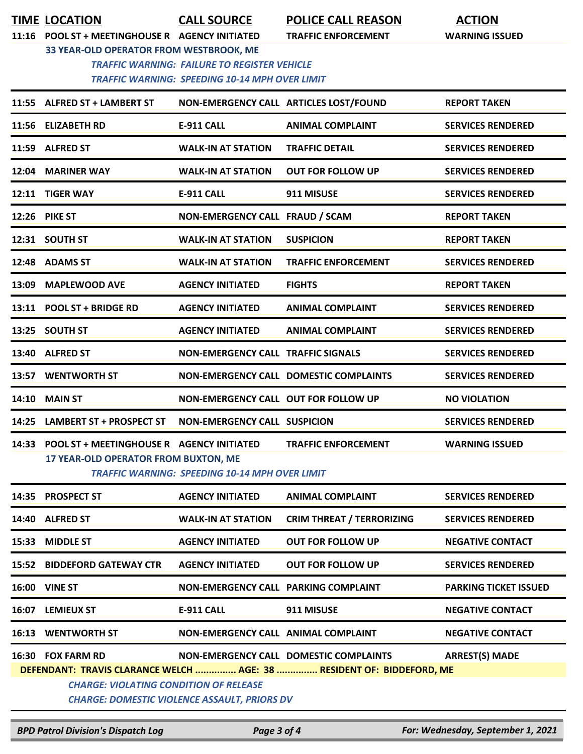**TIME LOCATION CALL SOURCE POLICE CALL REASON ACTION**

**11:16 POOL ST + MEETINGHOUSE R AGENCY INITIATED TRAFFIC ENFORCEMENT WARNING ISSUED**

**33 YEAR-OLD OPERATOR FROM WESTBROOK, ME**

 *TRAFFIC WARNING: FAILURE TO REGISTER VEHICLE TRAFFIC WARNING: SPEEDING 10-14 MPH OVER LIMIT*

|                                                                       | 11:55 ALFRED ST + LAMBERT ST                                                      |                                                       | NON-EMERGENCY CALL ARTICLES LOST/FOUND | <b>REPORT TAKEN</b>          |  |
|-----------------------------------------------------------------------|-----------------------------------------------------------------------------------|-------------------------------------------------------|----------------------------------------|------------------------------|--|
|                                                                       | 11:56 ELIZABETH RD                                                                | <b>E-911 CALL</b>                                     | <b>ANIMAL COMPLAINT</b>                | <b>SERVICES RENDERED</b>     |  |
|                                                                       | 11:59 ALFRED ST                                                                   | <b>WALK-IN AT STATION</b>                             | <b>TRAFFIC DETAIL</b>                  | <b>SERVICES RENDERED</b>     |  |
|                                                                       | 12:04 MARINER WAY                                                                 | <b>WALK-IN AT STATION</b>                             | <b>OUT FOR FOLLOW UP</b>               | <b>SERVICES RENDERED</b>     |  |
|                                                                       | 12:11 TIGER WAY                                                                   | <b>E-911 CALL</b>                                     | 911 MISUSE                             | <b>SERVICES RENDERED</b>     |  |
|                                                                       | <b>12:26 PIKE ST</b>                                                              | NON-EMERGENCY CALL FRAUD / SCAM                       |                                        | <b>REPORT TAKEN</b>          |  |
|                                                                       | 12:31 SOUTH ST                                                                    | <b>WALK-IN AT STATION</b>                             | <b>SUSPICION</b>                       | <b>REPORT TAKEN</b>          |  |
|                                                                       | 12:48 ADAMS ST                                                                    | <b>WALK-IN AT STATION</b>                             | <b>TRAFFIC ENFORCEMENT</b>             | <b>SERVICES RENDERED</b>     |  |
|                                                                       | 13:09 MAPLEWOOD AVE                                                               | <b>AGENCY INITIATED</b>                               | <b>FIGHTS</b>                          | <b>REPORT TAKEN</b>          |  |
|                                                                       | 13:11 POOL ST + BRIDGE RD                                                         | <b>AGENCY INITIATED</b>                               | <b>ANIMAL COMPLAINT</b>                | <b>SERVICES RENDERED</b>     |  |
|                                                                       | 13:25 SOUTH ST                                                                    | <b>AGENCY INITIATED</b>                               | <b>ANIMAL COMPLAINT</b>                | <b>SERVICES RENDERED</b>     |  |
|                                                                       | 13:40 ALFRED ST                                                                   | <b>NON-EMERGENCY CALL TRAFFIC SIGNALS</b>             |                                        | <b>SERVICES RENDERED</b>     |  |
|                                                                       | 13:57 WENTWORTH ST                                                                |                                                       | NON-EMERGENCY CALL DOMESTIC COMPLAINTS | <b>SERVICES RENDERED</b>     |  |
|                                                                       | 14:10 MAIN ST                                                                     | NON-EMERGENCY CALL OUT FOR FOLLOW UP                  |                                        | <b>NO VIOLATION</b>          |  |
|                                                                       | 14:25 LAMBERT ST + PROSPECT ST                                                    | <b>NON-EMERGENCY CALL SUSPICION</b>                   |                                        | <b>SERVICES RENDERED</b>     |  |
| 14:33                                                                 | POOL ST + MEETINGHOUSE R AGENCY INITIATED<br>17 YEAR-OLD OPERATOR FROM BUXTON, ME | <b>TRAFFIC WARNING: SPEEDING 10-14 MPH OVER LIMIT</b> | <b>TRAFFIC ENFORCEMENT</b>             | <b>WARNING ISSUED</b>        |  |
| 14:35                                                                 | <b>PROSPECT ST</b>                                                                | <b>AGENCY INITIATED</b>                               | <b>ANIMAL COMPLAINT</b>                | <b>SERVICES RENDERED</b>     |  |
|                                                                       | 14:40 ALFRED ST                                                                   | <b>WALK-IN AT STATION</b>                             | <b>CRIM THREAT / TERRORIZING</b>       | <b>SERVICES RENDERED</b>     |  |
|                                                                       | 15:33 MIDDLE ST                                                                   | <b>AGENCY INITIATED</b>                               | <b>OUT FOR FOLLOW UP</b>               | <b>NEGATIVE CONTACT</b>      |  |
|                                                                       | <b>15:52 BIDDEFORD GATEWAY CTR</b>                                                | <b>AGENCY INITIATED</b>                               | <b>OUT FOR FOLLOW UP</b>               | <b>SERVICES RENDERED</b>     |  |
|                                                                       | <b>16:00 VINE ST</b>                                                              | NON-EMERGENCY CALL PARKING COMPLAINT                  |                                        | <b>PARKING TICKET ISSUED</b> |  |
|                                                                       | 16:07 LEMIEUX ST                                                                  | <b>E-911 CALL</b>                                     | 911 MISUSE                             | <b>NEGATIVE CONTACT</b>      |  |
|                                                                       | <b>16:13 WENTWORTH ST</b>                                                         | NON-EMERGENCY CALL ANIMAL COMPLAINT                   |                                        | <b>NEGATIVE CONTACT</b>      |  |
|                                                                       | 16:30 FOX FARM RD                                                                 |                                                       | NON-EMERGENCY CALL DOMESTIC COMPLAINTS | <b>ARREST(S) MADE</b>        |  |
| DEFENDANT: TRAVIS CLARANCE WELCH  AGE: 38  RESIDENT OF: BIDDEFORD, ME |                                                                                   |                                                       |                                        |                              |  |
|                                                                       | <b>CHARGE: VIOLATING CONDITION OF RELEASE</b>                                     |                                                       |                                        |                              |  |
| <b>CHARGE: DOMESTIC VIOLENCE ASSAULT, PRIORS DV</b>                   |                                                                                   |                                                       |                                        |                              |  |

*BPD Patrol Division's Dispatch Log Page 3 of 4 For: Wednesday, September 1, 2021*